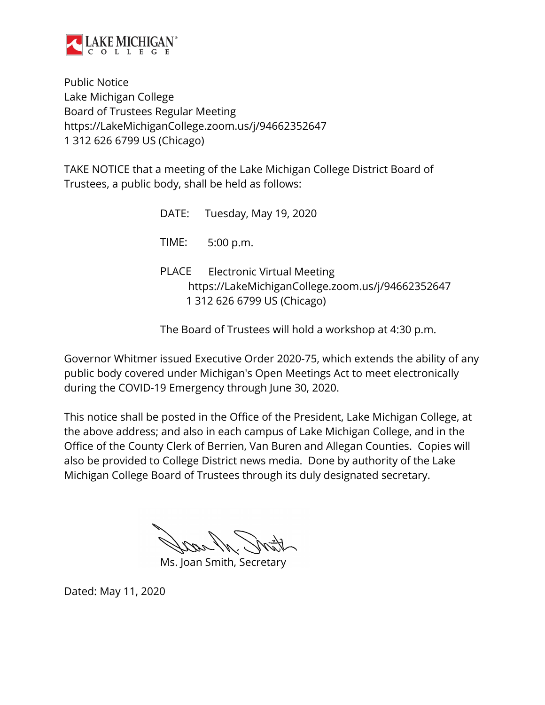

Public Notice Lake Michigan College Board of Trustees Regular Meeting https://LakeMichiganCollege.zoom.us/j/94662352647 1 312 626 6799 US (Chicago)

TAKE NOTICE that a meeting of the Lake Michigan College District Board of Trustees, a public body, shall be held as follows:

|       | DATE: Tuesday, May 19, 2020                                                                                           |
|-------|-----------------------------------------------------------------------------------------------------------------------|
|       | TIME: 5:00 p.m.                                                                                                       |
| PLACE | <b>Electronic Virtual Meeting</b><br>https://LakeMichiganCollege.zoom.us/j/94662352647<br>1 312 626 6799 US (Chicago) |

The Board of Trustees will hold a workshop at 4:30 p.m.

Governor Whitmer issued Executive Order 2020-75, which extends the ability of any public body covered under Michigan's Open Meetings Act to meet electronically during the COVID-19 Emergency through June 30, 2020.

This notice shall be posted in the Office of the President, Lake Michigan College, at the above address; and also in each campus of Lake Michigan College, and in the Office of the County Clerk of Berrien, Van Buren and Allegan Counties. Copies will also be provided to College District news media. Done by authority of the Lake Michigan College Board of Trustees through its duly designated secretary.

Ms. Joan Smith, Secretary

Dated: May 11, 2020